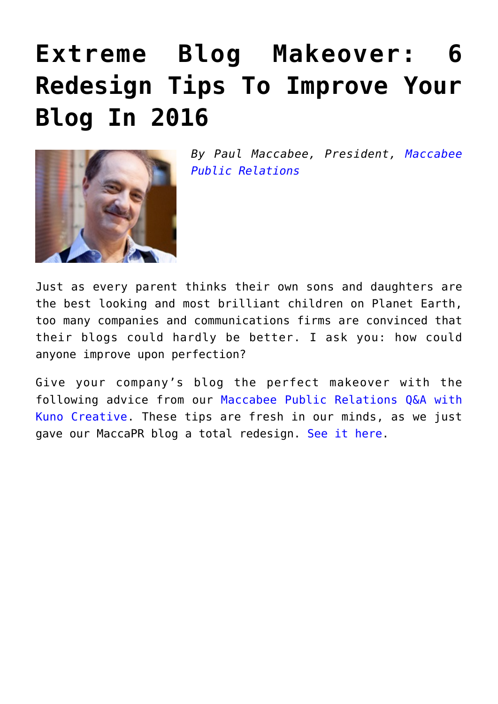# **[Extreme Blog Makeover: 6](https://www.commpro.biz/extreme-blog-makeover-6-redesign-tips-to-improve-your-blog-in-2016/) [Redesign Tips To Improve Your](https://www.commpro.biz/extreme-blog-makeover-6-redesign-tips-to-improve-your-blog-in-2016/) [Blog In 2016](https://www.commpro.biz/extreme-blog-makeover-6-redesign-tips-to-improve-your-blog-in-2016/)**



*By Paul Maccabee, President, [Maccabee](https://www.maccabee.com/) [Public Relations](https://www.maccabee.com/)*

Just as every parent thinks their own sons and daughters are the best looking and most brilliant children on Planet Earth, too many companies and communications firms are convinced that their blogs could hardly be better. I ask you: how could anyone improve upon perfection?

Give your company's blog the perfect makeover with the following advice from our [Maccabee Public Relations Q&A with](https://info.maccabee.com/blog/our-pr-agencys-blog-blew-it-and-what-kuno-creative-did-to-fix-it) [Kuno Creative](https://info.maccabee.com/blog/our-pr-agencys-blog-blew-it-and-what-kuno-creative-did-to-fix-it). These tips are fresh in our minds, as we just gave our MaccaPR blog a total redesign. [See it here.](https://www.maccapr.com)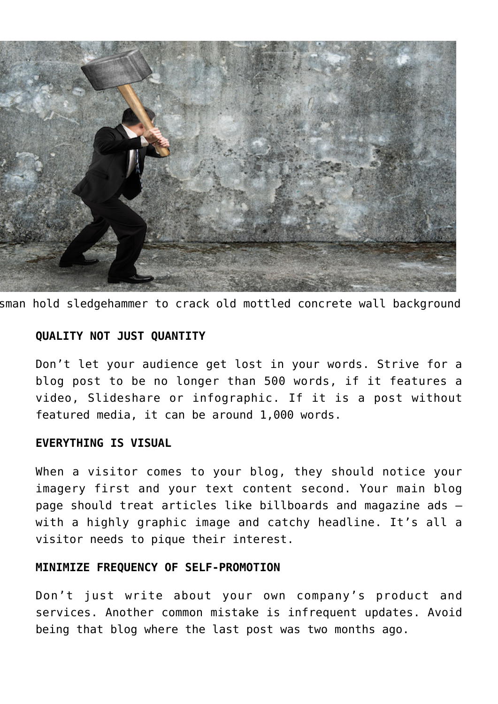

sman hold sledgehammer to crack old mottled concrete wall background

## **QUALITY NOT JUST QUANTITY**

Don't let your audience get lost in your words. Strive for a blog post to be no longer than 500 words, if it features a video, Slideshare or infographic. If it is a post without featured media, it can be around 1,000 words.

## **EVERYTHING IS VISUAL**

When a visitor comes to your blog, they should notice your imagery first and your text content second. Your main blog page should treat articles like billboards and magazine ads – with a highly graphic image and catchy headline. It's all a visitor needs to pique their interest.

## **MINIMIZE FREQUENCY OF SELF-PROMOTION**

Don't just write about your own company's product and services. Another common mistake is infrequent updates. Avoid being that blog where the last post was two months ago.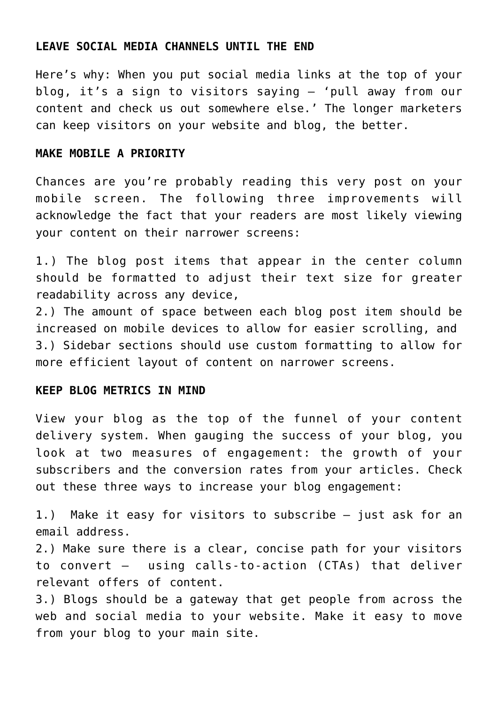#### **LEAVE SOCIAL MEDIA CHANNELS UNTIL THE END**

Here's why: When you put social media links at the top of your blog, it's a sign to visitors saying – 'pull away from our content and check us out somewhere else.' The longer marketers can keep visitors on your website and blog, the better.

#### **MAKE MOBILE A PRIORITY**

Chances are you're probably reading this very post on your mobile screen. The following three improvements will acknowledge the fact that your readers are most likely viewing your content on their narrower screens:

1.) The blog post items that appear in the center column should be formatted to adjust their text size for greater readability across any device,

2.) The amount of space between each blog post item should be increased on mobile devices to allow for easier scrolling, and 3.) Sidebar sections should use custom formatting to allow for more efficient layout of content on narrower screens.

#### **KEEP BLOG METRICS IN MIND**

View your blog as the top of the funnel of your content delivery system. When gauging the success of your blog, you look at two measures of engagement: the growth of your subscribers and the conversion rates from your articles. Check out these three ways to increase your blog engagement:

1.) Make it easy for visitors to subscribe – just ask for an email address.

2.) Make sure there is a clear, concise path for your visitors to convert – using calls-to-action (CTAs) that deliver relevant offers of content.

3.) Blogs should be a gateway that get people from across the web and social media to your website. Make it easy to move from your blog to your main site.